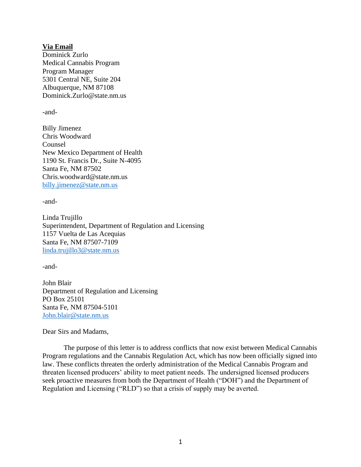**Via Email** Dominick Zurlo Medical Cannabis Program Program Manager 5301 Central NE, Suite 204 Albuquerque, NM 87108 Dominick.Zurlo@state.nm.us

-and-

Billy Jimenez Chris Woodward Counsel New Mexico Department of Health 1190 St. Francis Dr., Suite N-4095 Santa Fe, NM 87502 Chris.woodward@state.nm.us [billy.jimenez@state.nm.us](mailto:billy.jimenez@state.nm.us)

-and-

Linda Trujillo Superintendent, Department of Regulation and Licensing 1157 Vuelta de Las Acequias Santa Fe, NM 87507-7109 [linda.trujillo3@state.nm.us](mailto:linda.trujillo3@state.nm.us)

-and-

John Blair Department of Regulation and Licensing PO Box 25101 Santa Fe, NM 87504-5101 [John.blair@state.nm.us](mailto:John.blair@state.nm.us)

Dear Sirs and Madams,

The purpose of this letter is to address conflicts that now exist between Medical Cannabis Program regulations and the Cannabis Regulation Act, which has now been officially signed into law. These conflicts threaten the orderly administration of the Medical Cannabis Program and threaten licensed producers' ability to meet patient needs. The undersigned licensed producers seek proactive measures from both the Department of Health ("DOH") and the Department of Regulation and Licensing ("RLD") so that a crisis of supply may be averted.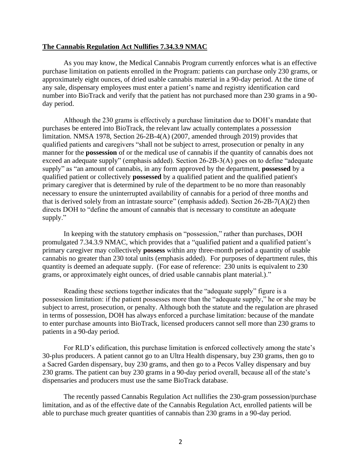## **The Cannabis Regulation Act Nullifies 7.34.3.9 NMAC**

As you may know, the Medical Cannabis Program currently enforces what is an effective purchase limitation on patients enrolled in the Program: patients can purchase only 230 grams, or approximately eight ounces, of dried usable cannabis material in a 90-day period. At the time of any sale, dispensary employees must enter a patient's name and registry identification card number into BioTrack and verify that the patient has not purchased more than 230 grams in a 90 day period.

Although the 230 grams is effectively a purchase limitation due to DOH's mandate that purchases be entered into BioTrack, the relevant law actually contemplates a *possession*  limitation. NMSA 1978, Section 26-2B-4(A) (2007, amended through 2019) provides that qualified patients and caregivers "shall not be subject to arrest, prosecution or penalty in any manner for the **possession** of or the medical use of cannabis if the quantity of cannabis does not exceed an adequate supply" (emphasis added). Section 26-2B-3(A) goes on to define "adequate supply" as "an amount of cannabis, in any form approved by the department, **possessed** by a qualified patient or collectively **possessed** by a qualified patient and the qualified patient's primary caregiver that is determined by rule of the department to be no more than reasonably necessary to ensure the uninterrupted availability of cannabis for a period of three months and that is derived solely from an intrastate source" (emphasis added). Section 26-2B-7(A)(2) then directs DOH to "define the amount of cannabis that is necessary to constitute an adequate supply."

In keeping with the statutory emphasis on "possession," rather than purchases, DOH promulgated 7.34.3.9 NMAC, which provides that a "qualified patient and a qualified patient's primary caregiver may collectively **possess** within any three-month period a quantity of usable cannabis no greater than 230 total units (emphasis added). For purposes of department rules, this quantity is deemed an adequate supply. (For ease of reference: 230 units is equivalent to 230 grams, or approximately eight ounces, of dried usable cannabis plant material.)."

Reading these sections together indicates that the "adequate supply" figure is a possession limitation: if the patient possesses more than the "adequate supply," he or she may be subject to arrest, prosecution, or penalty. Although both the statute and the regulation are phrased in terms of possession, DOH has always enforced a purchase limitation: because of the mandate to enter purchase amounts into BioTrack, licensed producers cannot sell more than 230 grams to patients in a 90-day period.

For RLD's edification, this purchase limitation is enforced collectively among the state's 30-plus producers. A patient cannot go to an Ultra Health dispensary, buy 230 grams, then go to a Sacred Garden dispensary, buy 230 grams, and then go to a Pecos Valley dispensary and buy 230 grams. The patient can buy 230 grams in a 90-day period overall, because all of the state's dispensaries and producers must use the same BioTrack database.

The recently passed Cannabis Regulation Act nullifies the 230-gram possession/purchase limitation, and as of the effective date of the Cannabis Regulation Act, enrolled patients will be able to purchase much greater quantities of cannabis than 230 grams in a 90-day period.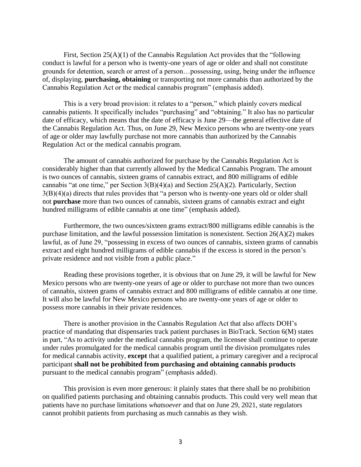First, Section 25(A)(1) of the Cannabis Regulation Act provides that the "following conduct is lawful for a person who is twenty-one years of age or older and shall not constitute grounds for detention, search or arrest of a person…possessing, using, being under the influence of, displaying, **purchasing, obtaining** or transporting not more cannabis than authorized by the Cannabis Regulation Act or the medical cannabis program" (emphasis added).

This is a very broad provision: it relates to a "person," which plainly covers medical cannabis patients. It specifically includes "purchasing" and "obtaining." It also has no particular date of efficacy, which means that the date of efficacy is June 29—the general effective date of the Cannabis Regulation Act. Thus, on June 29, New Mexico persons who are twenty-one years of age or older may lawfully purchase not more cannabis than authorized by the Cannabis Regulation Act or the medical cannabis program.

The amount of cannabis authorized for purchase by the Cannabis Regulation Act is considerably higher than that currently allowed by the Medical Cannabis Program. The amount is two ounces of cannabis, sixteen grams of cannabis extract, and 800 milligrams of edible cannabis "at one time," per Section 3(B)(4)(a) and Section 25(A)(2). Particularly, Section 3(B)(4)(a) directs that rules provides that "a person who is twenty-one years old or older shall not **purchase** more than two ounces of cannabis, sixteen grams of cannabis extract and eight hundred milligrams of edible cannabis at one time" (emphasis added).

Furthermore, the two ounces/sixteen grams extract/800 milligrams edible cannabis is the purchase limitation, and the lawful possession limitation is nonexistent. Section 26(A)(2) makes lawful, as of June 29, "possessing in excess of two ounces of cannabis, sixteen grams of cannabis extract and eight hundred milligrams of edible cannabis if the excess is stored in the person's private residence and not visible from a public place."

Reading these provisions together, it is obvious that on June 29, it will be lawful for New Mexico persons who are twenty-one years of age or older to purchase not more than two ounces of cannabis, sixteen grams of cannabis extract and 800 milligrams of edible cannabis at one time. It will also be lawful for New Mexico persons who are twenty-one years of age or older to possess more cannabis in their private residences.

There is another provision in the Cannabis Regulation Act that also affects DOH's practice of mandating that dispensaries track patient purchases in BioTrack. Section 6(M) states in part, "As to activity under the medical cannabis program, the licensee shall continue to operate under rules promulgated for the medical cannabis program until the division promulgates rules for medical cannabis activity, **except** that a qualified patient, a primary caregiver and a reciprocal participant **shall not be prohibited from purchasing and obtaining cannabis products** pursuant to the medical cannabis program" (emphasis added).

This provision is even more generous: it plainly states that there shall be no prohibition on qualified patients purchasing and obtaining cannabis products. This could very well mean that patients have no purchase limitations *whatsoever* and that on June 29, 2021, state regulators cannot prohibit patients from purchasing as much cannabis as they wish.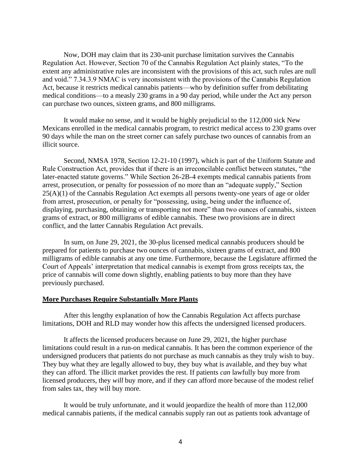Now, DOH may claim that its 230-unit purchase limitation survives the Cannabis Regulation Act. However, Section 70 of the Cannabis Regulation Act plainly states, "To the extent any administrative rules are inconsistent with the provisions of this act, such rules are null and void." 7.34.3.9 NMAC is very inconsistent with the provisions of the Cannabis Regulation Act, because it restricts medical cannabis patients—who by definition suffer from debilitating medical conditions—to a measly 230 grams in a 90 day period, while under the Act any person can purchase two ounces, sixteen grams, and 800 milligrams.

It would make no sense, and it would be highly prejudicial to the 112,000 sick New Mexicans enrolled in the medical cannabis program, to restrict medical access to 230 grams over 90 days while the man on the street corner can safely purchase two ounces of cannabis from an illicit source.

Second, NMSA 1978, Section 12-21-10 (1997), which is part of the Uniform Statute and Rule Construction Act, provides that if there is an irreconcilable conflict between statutes, "the later-enacted statute governs." While Section 26-2B-4 exempts medical cannabis patients from arrest, prosecution, or penalty for possession of no more than an "adequate supply," Section  $25(A)(1)$  of the Cannabis Regulation Act exempts all persons twenty-one years of age or older from arrest, prosecution, or penalty for "possessing, using, being under the influence of, displaying, purchasing, obtaining or transporting not more" than two ounces of cannabis, sixteen grams of extract, or 800 milligrams of edible cannabis. These two provisions are in direct conflict, and the latter Cannabis Regulation Act prevails.

In sum, on June 29, 2021, the 30-plus licensed medical cannabis producers should be prepared for patients to purchase two ounces of cannabis, sixteen grams of extract, and 800 milligrams of edible cannabis at any one time. Furthermore, because the Legislature affirmed the Court of Appeals' interpretation that medical cannabis is exempt from gross receipts tax, the price of cannabis will come down slightly, enabling patients to buy more than they have previously purchased.

## **More Purchases Require Substantially More Plants**

After this lengthy explanation of how the Cannabis Regulation Act affects purchase limitations, DOH and RLD may wonder how this affects the undersigned licensed producers.

It affects the licensed producers because on June 29, 2021, the higher purchase limitations could result in a run-on medical cannabis. It has been the common experience of the undersigned producers that patients do not purchase as much cannabis as they truly wish to buy. They buy what they are legally allowed to buy, they buy what is available, and they buy what they can afford. The illicit market provides the rest. If patients *can* lawfully buy more from licensed producers, they *will* buy more, and if they can afford more because of the modest relief from sales tax, they will buy more.

It would be truly unfortunate, and it would jeopardize the health of more than 112,000 medical cannabis patients, if the medical cannabis supply ran out as patients took advantage of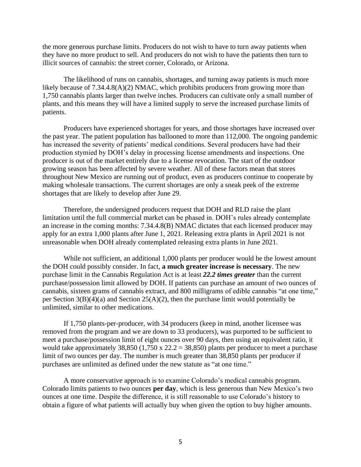the more generous purchase limits. Producers do not wish to have to turn away patients when they have no more product to sell. And producers do not wish to have the patients then turn to illicit sources of cannabis: the street corner, Colorado, or Arizona.

The likelihood of runs on cannabis, shortages, and turning away patients is much more likely because of 7.34.4.8(A)(2) NMAC, which prohibits producers from growing more than 1,750 cannabis plants larger than twelve inches. Producers can cultivate only a small number of plants, and this means they will have a limited supply to serve the increased purchase limits of patients.

Producers have experienced shortages for years, and those shortages have increased over the past year. The patient population has ballooned to more than 112,000. The ongoing pandemic has increased the severity of patients' medical conditions. Several producers have had their production stymied by DOH's delay in processing license amendments and inspections. One producer is out of the market entirely due to a license revocation. The start of the outdoor growing season has been affected by severe weather. All of these factors mean that stores throughout New Mexico are running out of product, even as producers continue to cooperate by making wholesale transactions. The current shortages are only a sneak peek of the extreme shortages that are likely to develop after June 29.

Therefore, the undersigned producers request that DOH and RLD raise the plant limitation until the full commercial market can be phased in. DOH's rules already contemplate an increase in the coming months: 7.34.4.8(B) NMAC dictates that each licensed producer may apply for an extra 1,000 plants after June 1, 2021. Releasing extra plants in April 2021 is not unreasonable when DOH already contemplated releasing extra plants in June 2021.

While not sufficient, an additional 1,000 plants per producer would be the lowest amount the DOH could possibly consider. In fact, **a much greater increase is necessary**. The new purchase limit in the Cannabis Regulation Act is at least *22.2 times greater* than the current purchase/possession limit allowed by DOH. If patients can purchase an amount of two ounces of cannabis, sixteen grams of cannabis extract, and 800 milligrams of edible cannabis "at one time," per Section  $3(B)(4)(a)$  and Section  $25(A)(2)$ , then the purchase limit would potentially be unlimited, similar to other medications.

If 1,750 plants-per-producer, with 34 producers (keep in mind, another licensee was removed from the program and we are down to 33 producers), was purported to be sufficient to meet a purchase/possession limit of eight ounces over 90 days, then using an equivalent ratio, it would take approximately 38,850 (1,750 x 22.2 = 38,850) plants per producer to meet a purchase limit of two ounces per day. The number is much greater than 38,850 plants per producer if purchases are unlimited as defined under the new statute as "at one time."

A more conservative approach is to examine Colorado's medical cannabis program. Colorado limits patients to two ounces **per day**, which is less generous than New Mexico's two ounces at one time. Despite the difference, it is still reasonable to use Colorado's history to obtain a figure of what patients will actually buy when given the option to buy higher amounts.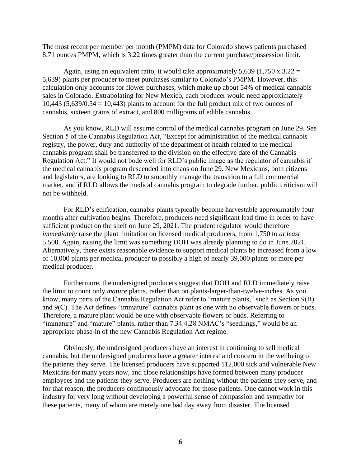The most recent per member per month (PMPM) data for Colorado shows patients purchased 8.71 ounces PMPM, which is 3.22 times greater than the current purchase/possession limit.

Again, using an equivalent ratio, it would take approximately 5,639 (1,750 x  $3.22 =$ 5,639) plants per producer to meet purchases similar to Colorado's PMPM. However, this calculation only accounts for flower purchases, which make up about 54% of medical cannabis sales in Colorado. Extrapolating for New Mexico, each producer would need approximately 10,443  $(5,639/0.54 = 10,443)$  plants to account for the full product mix of two ounces of cannabis, sixteen grams of extract, and 800 milligrams of edible cannabis.

As you know, RLD will assume control of the medical cannabis program on June 29. See Section 5 of the Cannabis Regulation Act, "Except for administration of the medical cannabis registry, the power, duty and authority of the department of health related to the medical cannabis program shall be transferred to the division on the effective date of the Cannabis Regulation Act." It would not bode well for RLD's public image as the regulator of cannabis if the medical cannabis program descended into chaos on June 29. New Mexicans, both citizens and legislators, are looking to RLD to smoothly manage the transition to a full commercial market, and if RLD allows the medical cannabis program to degrade further, public criticism will not be withheld.

For RLD's edification, cannabis plants typically become harvestable approximately four months after cultivation begins. Therefore, producers need significant lead time in order to have sufficient product on the shelf on June 29, 2021. The prudent regulator would therefore *immediately* raise the plant limitation on licensed medical producers, from 1,750 to *at least* 5,500. Again, raising the limit was something DOH was already planning to do in June 2021. Alternatively, there exists reasonable evidence to support medical plants be increased from a low of 10,000 plants per medical producer to possibly a high of nearly 39,000 plants or more per medical producer.

Furthermore, the undersigned producers suggest that DOH and RLD immediately raise the limit to count only *mature* plants, rather than on plants-larger-than-twelve-inches. As you know, many parts of the Cannabis Regulation Act refer to "mature plants," such as Section 9(B) and 9(C). The Act defines "immature" cannabis plant as one with no observable flowers or buds. Therefore, a mature plant would be one with observable flowers or buds. Referring to "immature" and "mature" plants, rather than 7.34.4.28 NMAC's "seedlings," would be an appropriate phase-in of the new Cannabis Regulation Act regime.

Obviously, the undersigned producers have an interest in continuing to sell medical cannabis, but the undersigned producers have a greater interest and concern in the wellbeing of the patients they serve. The licensed producers have supported 112,000 sick and vulnerable New Mexicans for many years now, and close relationships have formed between many producer employees and the patients they serve. Producers are nothing without the patients they serve, and for that reason, the producers continuously advocate for those patients. One cannot work in this industry for very long without developing a powerful sense of compassion and sympathy for these patients, many of whom are merely one bad day away from disaster. The licensed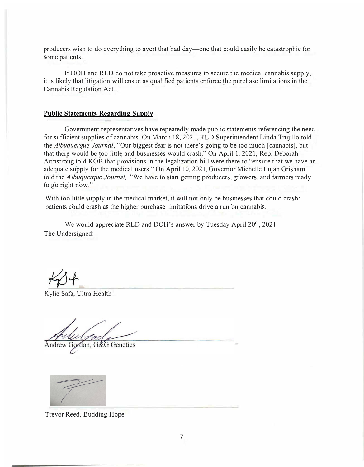producers wish to do everything to avert that bad day-one that could easily be catastrophic for some patients.

IfDOH and RLD do not take proactive measures to secure the medical cannabis supply, it is likely that litigation will ensue as qualified patients enforce the purchase limitations in the Cannabis Regulation Act.

## **Public Statements Regarding Supply**

Government representatives have repeatedly made public statements referencing the need for sufficient supplies of cannabis. On March 18, 2021, RLD Superintendent Linda Trujillo told the *Albuquerque Journal,* "Our biggest fear is not there's going to be too much [ cannabis], but that there would be too little and businesses would crash." On April 1, 2021, Rep. Deborah Armstrong told KOB that provisions in the legalization bill were there to "ensure that we have an adequate supply for the medical users." On April 10, 2021, Governor Michelle Lujan Grisham told the Albuquerque *J*ournal, "We have to start getting producers, growers, and farmers ready to go right now."

With too little supply in the medical market, it will not only be businesses that could crash: patients could crash as the higher purchase limitations drive a run on cannabis.

We would appreciate RLD and DOH's answer by Tuesday April 20<sup>th</sup>, 2021. The Undersigned:

Kylie Safa, Ultra Health

Andrew Gordon, G&G Genetics



Trevor Reed, Budding Hope